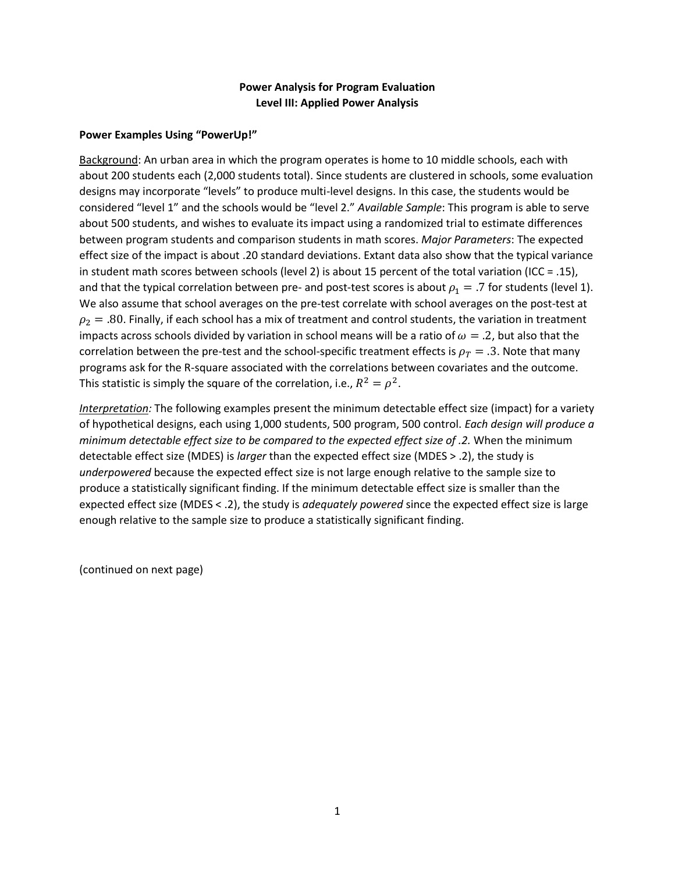## **Power Analysis for Program Evaluation Level III: Applied Power Analysis**

#### **Power Examples Using "PowerUp!"**

Background: An urban area in which the program operates is home to 10 middle schools, each with about 200 students each (2,000 students total). Since students are clustered in schools, some evaluation designs may incorporate "levels" to produce multi-level designs. In this case, the students would be considered "level 1" and the schools would be "level 2." *Available Sample*: This program is able to serve about 500 students, and wishes to evaluate its impact using a randomized trial to estimate differences between program students and comparison students in math scores. *Major Parameters*: The expected effect size of the impact is about .20 standard deviations. Extant data also show that the typical variance in student math scores between schools (level 2) is about 15 percent of the total variation (ICC = .15), and that the typical correlation between pre- and post-test scores is about  $\rho_1 = .7$  for students (level 1). We also assume that school averages on the pre-test correlate with school averages on the post-test at  $\rho_2 = .80$ . Finally, if each school has a mix of treatment and control students, the variation in treatment impacts across schools divided by variation in school means will be a ratio of  $\omega = .2$ , but also that the correlation between the pre-test and the school-specific treatment effects is  $\rho_T = .3$ . Note that many programs ask for the R-square associated with the correlations between covariates and the outcome. This statistic is simply the square of the correlation, i.e.,  $R^2 = \rho^2$ .

*Interpretation:* The following examples present the minimum detectable effect size (impact) for a variety of hypothetical designs, each using 1,000 students, 500 program, 500 control. *Each design will produce a minimum detectable effect size to be compared to the expected effect size of .2.* When the minimum detectable effect size (MDES) is *larger* than the expected effect size (MDES > .2), the study is *underpowered* because the expected effect size is not large enough relative to the sample size to produce a statistically significant finding. If the minimum detectable effect size is smaller than the expected effect size (MDES < .2), the study is *adequately powered* since the expected effect size is large enough relative to the sample size to produce a statistically significant finding.

(continued on next page)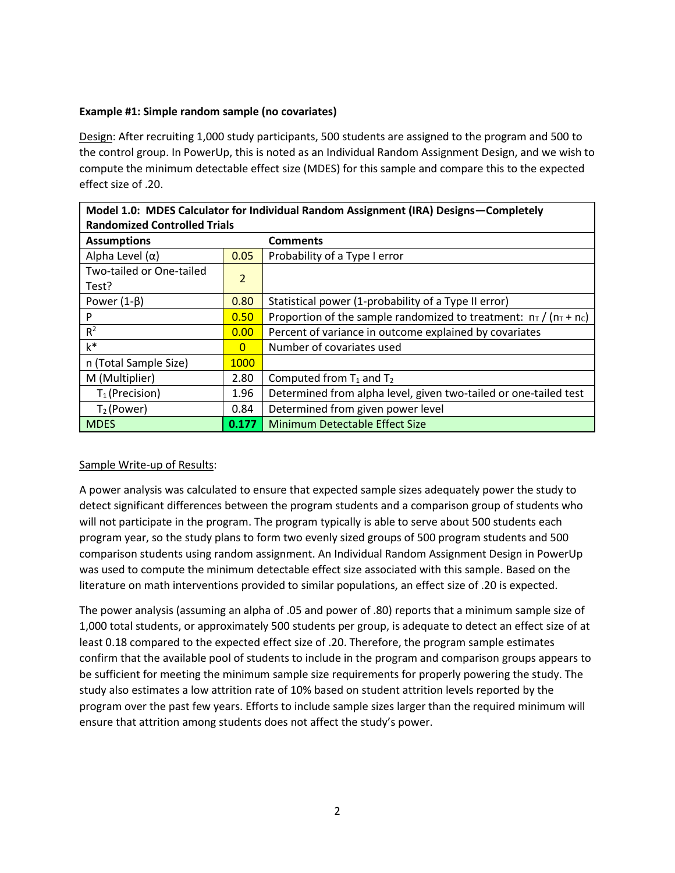## **Example #1: Simple random sample (no covariates)**

Design: After recruiting 1,000 study participants, 500 students are assigned to the program and 500 to the control group. In PowerUp, this is noted as an Individual Random Assignment Design, and we wish to compute the minimum detectable effect size (MDES) for this sample and compare this to the expected effect size of .20.

| <b>Randomized Controlled Trials</b> |                |                                                                       |
|-------------------------------------|----------------|-----------------------------------------------------------------------|
| <b>Assumptions</b>                  |                | <b>Comments</b>                                                       |
| Alpha Level $(\alpha)$              | 0.05           | Probability of a Type I error                                         |
| Two-tailed or One-tailed<br>Test?   | 2              |                                                                       |
| Power $(1-\beta)$                   | 0.80           | Statistical power (1-probability of a Type II error)                  |
| P                                   | 0.50           | Proportion of the sample randomized to treatment: $n_T / (n_T + n_C)$ |
| $R^2$                               | 0.00           | Percent of variance in outcome explained by covariates                |
| $k^*$                               | $\overline{0}$ | Number of covariates used                                             |
| n (Total Sample Size)               | 1000           |                                                                       |
| M (Multiplier)                      | 2.80           | Computed from $T_1$ and $T_2$                                         |
| $T_1$ (Precision)                   | 1.96           | Determined from alpha level, given two-tailed or one-tailed test      |
| $T_2$ (Power)                       | 0.84           | Determined from given power level                                     |
| <b>MDES</b>                         | 0.177          | <b>Minimum Detectable Effect Size</b>                                 |

# **Model 1.0: MDES Calculator for Individual Random Assignment (IRA) Designs—Completely**

# Sample Write-up of Results:

A power analysis was calculated to ensure that expected sample sizes adequately power the study to detect significant differences between the program students and a comparison group of students who will not participate in the program. The program typically is able to serve about 500 students each program year, so the study plans to form two evenly sized groups of 500 program students and 500 comparison students using random assignment. An Individual Random Assignment Design in PowerUp was used to compute the minimum detectable effect size associated with this sample. Based on the literature on math interventions provided to similar populations, an effect size of .20 is expected.

The power analysis (assuming an alpha of .05 and power of .80) reports that a minimum sample size of 1,000 total students, or approximately 500 students per group, is adequate to detect an effect size of at least 0.18 compared to the expected effect size of .20. Therefore, the program sample estimates confirm that the available pool of students to include in the program and comparison groups appears to be sufficient for meeting the minimum sample size requirements for properly powering the study. The study also estimates a low attrition rate of 10% based on student attrition levels reported by the program over the past few years. Efforts to include sample sizes larger than the required minimum will ensure that attrition among students does not affect the study's power.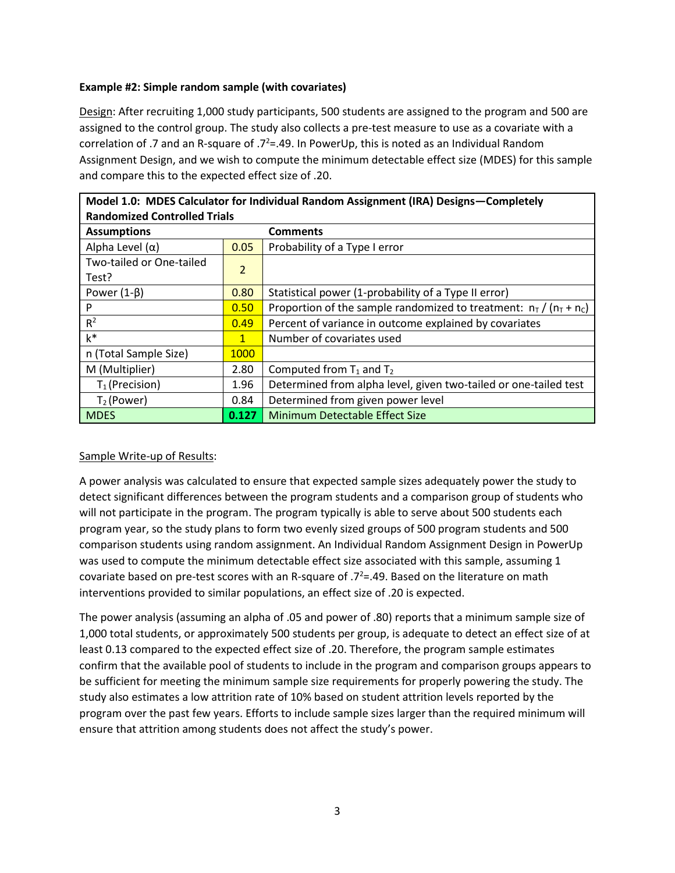## **Example #2: Simple random sample (with covariates)**

Design: After recruiting 1,000 study participants, 500 students are assigned to the program and 500 are assigned to the control group. The study also collects a pre-test measure to use as a covariate with a correlation of .7 and an R-square of .7<sup>2</sup>=.49. In PowerUp, this is noted as an Individual Random Assignment Design, and we wish to compute the minimum detectable effect size (MDES) for this sample and compare this to the expected effect size of .20.

| iviodel 1.0: IVIDES Calculator for individual Kandom Assignment (IRA) Designs—Completely |                |                                                                       |  |
|------------------------------------------------------------------------------------------|----------------|-----------------------------------------------------------------------|--|
| <b>Randomized Controlled Trials</b>                                                      |                |                                                                       |  |
| <b>Assumptions</b>                                                                       |                | <b>Comments</b>                                                       |  |
| Alpha Level $(\alpha)$                                                                   | 0.05           | Probability of a Type I error                                         |  |
| Two-tailed or One-tailed                                                                 | $\overline{2}$ |                                                                       |  |
| Test?                                                                                    |                |                                                                       |  |
| Power $(1-\beta)$                                                                        | 0.80           | Statistical power (1-probability of a Type II error)                  |  |
| P                                                                                        | 0.50           | Proportion of the sample randomized to treatment: $n_T / (n_T + n_C)$ |  |
| $R^2$                                                                                    | 0.49           | Percent of variance in outcome explained by covariates                |  |
| $k^*$                                                                                    | $\mathbf{1}$   | Number of covariates used                                             |  |
| n (Total Sample Size)                                                                    | 1000           |                                                                       |  |
| M (Multiplier)                                                                           | 2.80           | Computed from $T_1$ and $T_2$                                         |  |
| $T_1$ (Precision)                                                                        | 1.96           | Determined from alpha level, given two-tailed or one-tailed test      |  |
| $T_2$ (Power)                                                                            | 0.84           | Determined from given power level                                     |  |
| <b>MDES</b>                                                                              | 0.127          | Minimum Detectable Effect Size                                        |  |

**Model 1.0: MDES Calculator for Individual Random Assignment (IRA) Designs—Completely** 

# Sample Write-up of Results:

A power analysis was calculated to ensure that expected sample sizes adequately power the study to detect significant differences between the program students and a comparison group of students who will not participate in the program. The program typically is able to serve about 500 students each program year, so the study plans to form two evenly sized groups of 500 program students and 500 comparison students using random assignment. An Individual Random Assignment Design in PowerUp was used to compute the minimum detectable effect size associated with this sample, assuming 1 covariate based on pre-test scores with an R-square of  $.7^{2}$ =.49. Based on the literature on math interventions provided to similar populations, an effect size of .20 is expected.

The power analysis (assuming an alpha of .05 and power of .80) reports that a minimum sample size of 1,000 total students, or approximately 500 students per group, is adequate to detect an effect size of at least 0.13 compared to the expected effect size of .20. Therefore, the program sample estimates confirm that the available pool of students to include in the program and comparison groups appears to be sufficient for meeting the minimum sample size requirements for properly powering the study. The study also estimates a low attrition rate of 10% based on student attrition levels reported by the program over the past few years. Efforts to include sample sizes larger than the required minimum will ensure that attrition among students does not affect the study's power.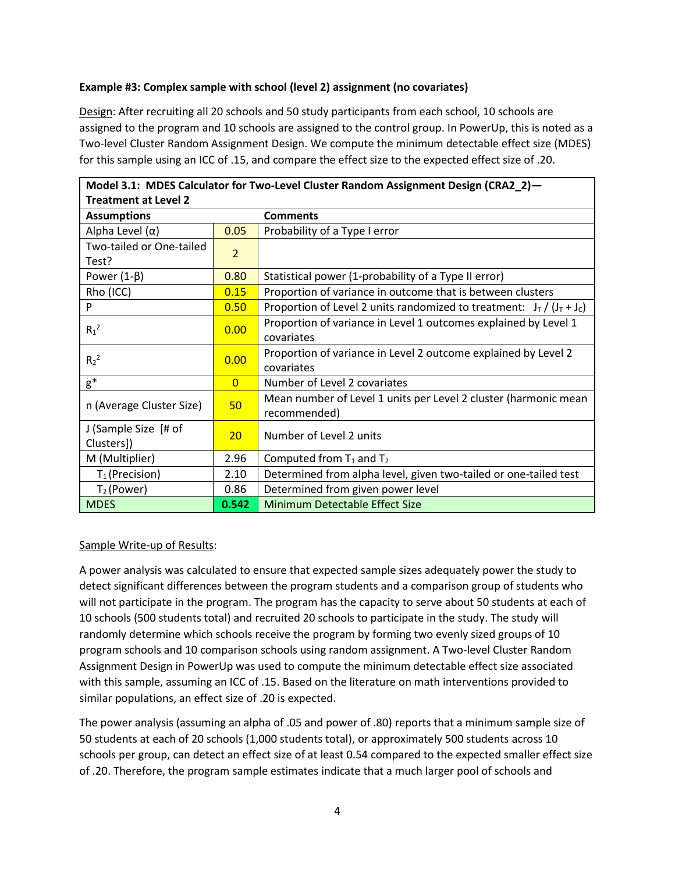## **Example #3: Complex sample with school (level 2) assignment (no covariates)**

Design: After recruiting all 20 schools and 50 study participants from each school, 10 schools are assigned to the program and 10 schools are assigned to the control group. In PowerUp, this is noted as a Two-level Cluster Random Assignment Design. We compute the minimum detectable effect size (MDES) for this sample using an ICC of .15, and compare the effect size to the expected effect size of .20.

| Model 3.1: MDES Calculator for Two-Level Cluster Random Assignment Design (CRA2_2)- |                 |                                                                          |  |
|-------------------------------------------------------------------------------------|-----------------|--------------------------------------------------------------------------|--|
| <b>Treatment at Level 2</b>                                                         |                 |                                                                          |  |
| <b>Assumptions</b>                                                                  |                 | <b>Comments</b>                                                          |  |
| Alpha Level (α)                                                                     | 0.05            | Probability of a Type I error                                            |  |
| Two-tailed or One-tailed                                                            | $\overline{2}$  |                                                                          |  |
| Test?                                                                               |                 |                                                                          |  |
| Power $(1-\beta)$                                                                   | 0.80            | Statistical power (1-probability of a Type II error)                     |  |
| Rho (ICC)                                                                           | 0.15            | Proportion of variance in outcome that is between clusters               |  |
| P                                                                                   | 0.50            | Proportion of Level 2 units randomized to treatment: $J_T / (J_T + J_c)$ |  |
| $R_1^2$                                                                             | 0.00            | Proportion of variance in Level 1 outcomes explained by Level 1          |  |
|                                                                                     |                 | covariates                                                               |  |
| $R_2^2$                                                                             | 0.00            | Proportion of variance in Level 2 outcome explained by Level 2           |  |
|                                                                                     |                 | covariates                                                               |  |
| $g^*$                                                                               | $\overline{0}$  | Number of Level 2 covariates                                             |  |
|                                                                                     | 50              | Mean number of Level 1 units per Level 2 cluster (harmonic mean          |  |
| n (Average Cluster Size)                                                            |                 | recommended)                                                             |  |
| J (Sample Size [# of                                                                | 20 <sub>2</sub> | Number of Level 2 units                                                  |  |
| Clusters])                                                                          |                 |                                                                          |  |
| M (Multiplier)                                                                      | 2.96            | Computed from $T_1$ and $T_2$                                            |  |
| $T_1$ (Precision)                                                                   | 2.10            | Determined from alpha level, given two-tailed or one-tailed test         |  |
| $T_2$ (Power)                                                                       | 0.86            | Determined from given power level                                        |  |
| <b>MDES</b>                                                                         | 0.542           | Minimum Detectable Effect Size                                           |  |

#### Sample Write-up of Results:

A power analysis was calculated to ensure that expected sample sizes adequately power the study to detect significant differences between the program students and a comparison group of students who will not participate in the program. The program has the capacity to serve about 50 students at each of 10 schools (500 students total) and recruited 20 schools to participate in the study. The study will randomly determine which schools receive the program by forming two evenly sized groups of 10 program schools and 10 comparison schools using random assignment. A Two-level Cluster Random Assignment Design in PowerUp was used to compute the minimum detectable effect size associated with this sample, assuming an ICC of .15. Based on the literature on math interventions provided to similar populations, an effect size of .20 is expected.

The power analysis (assuming an alpha of .05 and power of .80) reports that a minimum sample size of 50 students at each of 20 schools (1,000 students total), or approximately 500 students across 10 schools per group, can detect an effect size of at least 0.54 compared to the expected smaller effect size of .20. Therefore, the program sample estimates indicate that a much larger pool of schools and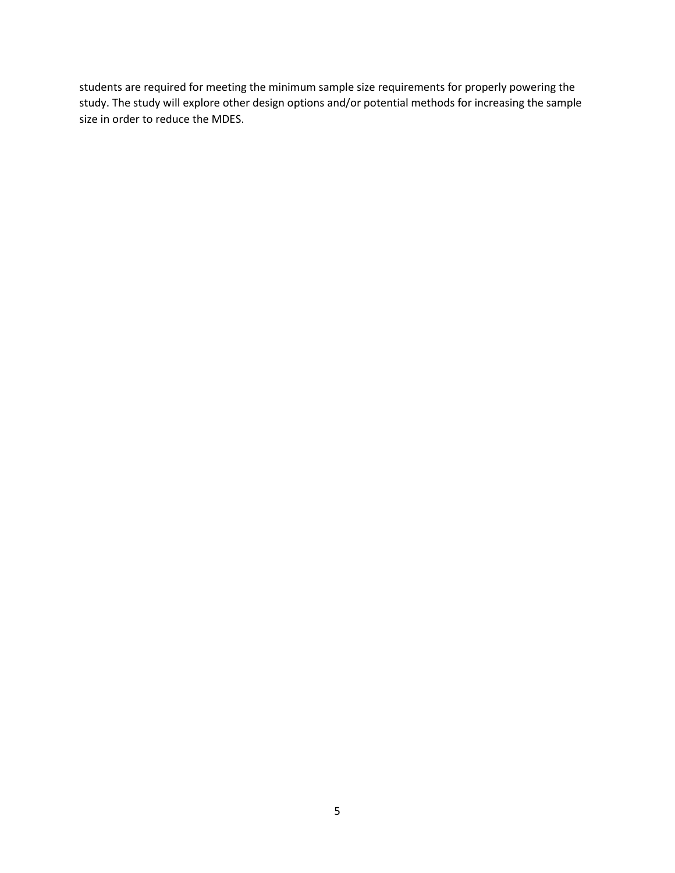students are required for meeting the minimum sample size requirements for properly powering the study. The study will explore other design options and/or potential methods for increasing the sample size in order to reduce the MDES.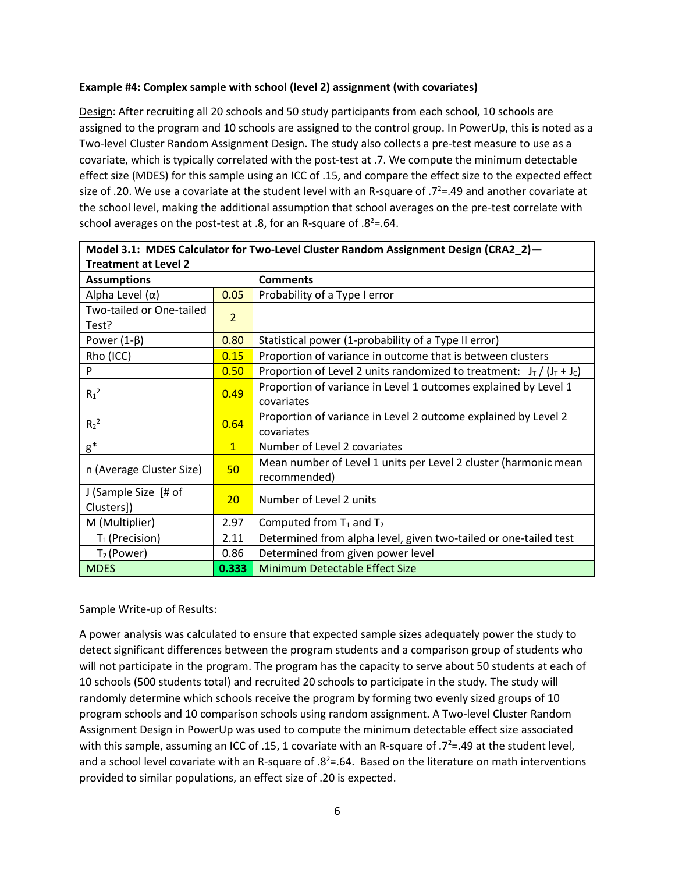## **Example #4: Complex sample with school (level 2) assignment (with covariates)**

Design: After recruiting all 20 schools and 50 study participants from each school, 10 schools are assigned to the program and 10 schools are assigned to the control group. In PowerUp, this is noted as a Two-level Cluster Random Assignment Design. The study also collects a pre-test measure to use as a covariate, which is typically correlated with the post-test at .7. We compute the minimum detectable effect size (MDES) for this sample using an ICC of .15, and compare the effect size to the expected effect size of .20. We use a covariate at the student level with an R-square of  $.7^2$ =.49 and another covariate at the school level, making the additional assumption that school averages on the pre-test correlate with school averages on the post-test at .8, for an R-square of .8<sup>2</sup>=.64.

| IVIODEL 3.1: IVIDES CAICULATOR TOR TWO-LEVEL CIUSTER RANDOM ASSIGNMENT DESIGN (CRAZ $Z$ ) — |                |                                                                          |
|---------------------------------------------------------------------------------------------|----------------|--------------------------------------------------------------------------|
| <b>Treatment at Level 2</b>                                                                 |                |                                                                          |
| <b>Assumptions</b>                                                                          |                | <b>Comments</b>                                                          |
| Alpha Level $(\alpha)$                                                                      | 0.05           | Probability of a Type I error                                            |
| Two-tailed or One-tailed                                                                    | $\overline{2}$ |                                                                          |
| Test?                                                                                       |                |                                                                          |
| Power $(1-\beta)$                                                                           | 0.80           | Statistical power (1-probability of a Type II error)                     |
| Rho (ICC)                                                                                   | 0.15           | Proportion of variance in outcome that is between clusters               |
| P                                                                                           | 0.50           | Proportion of Level 2 units randomized to treatment: $J_T / (J_T + J_C)$ |
| $R_1^2$                                                                                     | 0.49           | Proportion of variance in Level 1 outcomes explained by Level 1          |
|                                                                                             |                | covariates                                                               |
| $R_2^2$                                                                                     | 0.64           | Proportion of variance in Level 2 outcome explained by Level 2           |
|                                                                                             |                | covariates                                                               |
| $g^*$                                                                                       | $\mathbf{1}$   | Number of Level 2 covariates                                             |
| n (Average Cluster Size)                                                                    | 50             | Mean number of Level 1 units per Level 2 cluster (harmonic mean          |
|                                                                                             |                | recommended)                                                             |
| J (Sample Size [# of                                                                        | 20             | Number of Level 2 units                                                  |
| Clusters])                                                                                  |                |                                                                          |
| M (Multiplier)                                                                              | 2.97           | Computed from $T_1$ and $T_2$                                            |
| $T_1$ (Precision)                                                                           | 2.11           | Determined from alpha level, given two-tailed or one-tailed test         |
| $T_2$ (Power)                                                                               | 0.86           | Determined from given power level                                        |
| <b>MDES</b>                                                                                 | 0.333          | Minimum Detectable Effect Size                                           |

**Model 3.1: MDES Calculator for Two-Level Cluster Random Assignment Design (CRA2\_2)—**

# Sample Write-up of Results:

A power analysis was calculated to ensure that expected sample sizes adequately power the study to detect significant differences between the program students and a comparison group of students who will not participate in the program. The program has the capacity to serve about 50 students at each of 10 schools (500 students total) and recruited 20 schools to participate in the study. The study will randomly determine which schools receive the program by forming two evenly sized groups of 10 program schools and 10 comparison schools using random assignment. A Two-level Cluster Random Assignment Design in PowerUp was used to compute the minimum detectable effect size associated with this sample, assuming an ICC of .15, 1 covariate with an R-square of .7<sup>2</sup>=.49 at the student level, and a school level covariate with an R-square of  $.8<sup>2</sup>=.64$ . Based on the literature on math interventions provided to similar populations, an effect size of .20 is expected.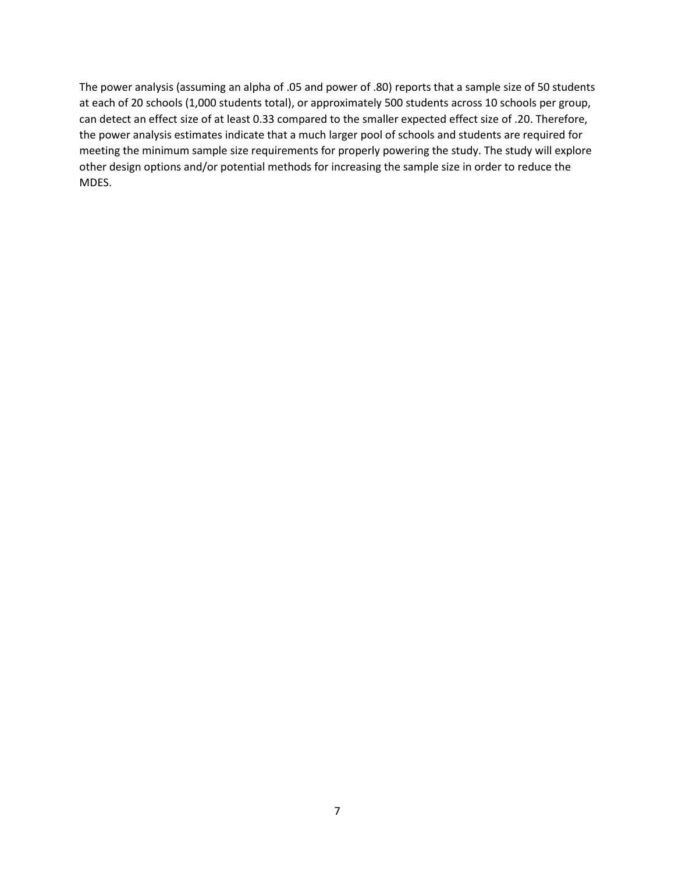The power analysis (assuming an alpha of .05 and power of .80) reports that a sample size of 50 students at each of 20 schools (1,000 students total), or approximately 500 students across 10 schools per group, can detect an effect size of at least 0.33 compared to the smaller expected effect size of .20. Therefore, the power analysis estimates indicate that a much larger pool of schools and students are required for meeting the minimum sample size requirements for properly powering the study. The study will explore other design options and/or potential methods for increasing the sample size in order to reduce the MDES.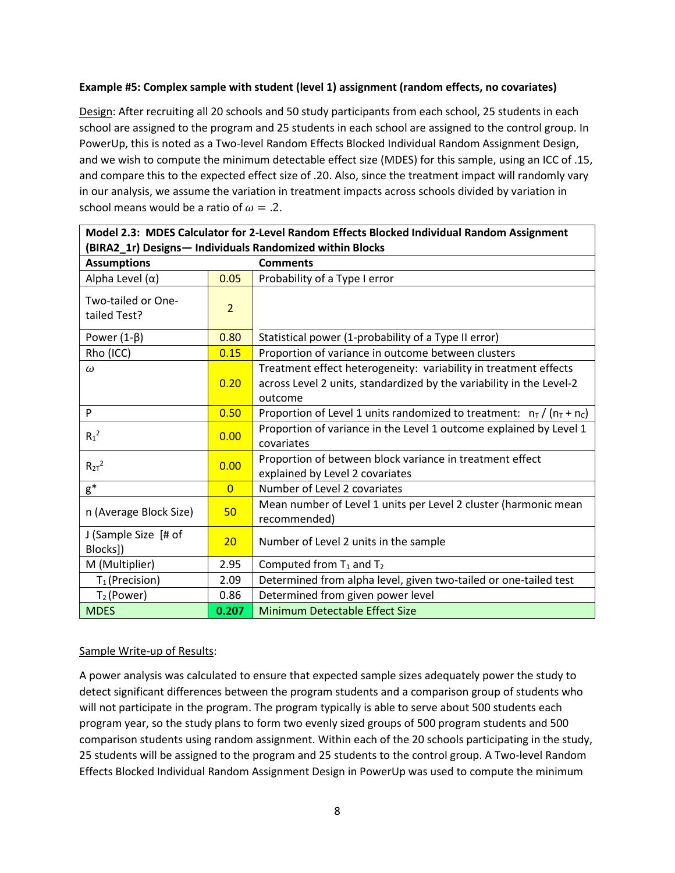## **Example #5: Complex sample with student (level 1) assignment (random effects, no covariates)**

Design: After recruiting all 20 schools and 50 study participants from each school, 25 students in each school are assigned to the program and 25 students in each school are assigned to the control group. In PowerUp, this is noted as a Two-level Random Effects Blocked Individual Random Assignment Design, and we wish to compute the minimum detectable effect size (MDES) for this sample, using an ICC of .15, and compare this to the expected effect size of .20. Also, since the treatment impact will randomly vary in our analysis, we assume the variation in treatment impacts across schools divided by variation in school means would be a ratio of  $\omega = 0.2$ .

| (BIRA2_1r) Designs-Individuals Randomized within Blocks |                |                                                                                                                                                     |
|---------------------------------------------------------|----------------|-----------------------------------------------------------------------------------------------------------------------------------------------------|
| <b>Assumptions</b>                                      |                | <b>Comments</b>                                                                                                                                     |
| Alpha Level $(\alpha)$                                  | 0.05           | Probability of a Type I error                                                                                                                       |
| Two-tailed or One-<br>tailed Test?                      | $\overline{2}$ |                                                                                                                                                     |
| Power $(1-\beta)$                                       | 0.80           | Statistical power (1-probability of a Type II error)                                                                                                |
| Rho (ICC)                                               | 0.15           | Proportion of variance in outcome between clusters                                                                                                  |
| $\omega$                                                | 0.20           | Treatment effect heterogeneity: variability in treatment effects<br>across Level 2 units, standardized by the variability in the Level-2<br>outcome |
| P                                                       | 0.50           | Proportion of Level 1 units randomized to treatment: $n_T/(n_T + n_C)$                                                                              |
| $R_1^2$                                                 | 0.00           | Proportion of variance in the Level 1 outcome explained by Level 1<br>covariates                                                                    |
| $R_{2T}^2$                                              | 0.00           | Proportion of between block variance in treatment effect<br>explained by Level 2 covariates                                                         |
| $g^*$                                                   | $\overline{0}$ | Number of Level 2 covariates                                                                                                                        |
| n (Average Block Size)                                  | 50             | Mean number of Level 1 units per Level 2 cluster (harmonic mean<br>recommended)                                                                     |
| J (Sample Size [# of<br>Blocks])                        | 20             | Number of Level 2 units in the sample                                                                                                               |
| M (Multiplier)                                          | 2.95           | Computed from $T_1$ and $T_2$                                                                                                                       |
| $T_1$ (Precision)                                       | 2.09           | Determined from alpha level, given two-tailed or one-tailed test                                                                                    |
| $T_2$ (Power)                                           | 0.86           | Determined from given power level                                                                                                                   |
| <b>MDES</b>                                             | 0.207          | <b>Minimum Detectable Effect Size</b>                                                                                                               |

**Model 2.3: MDES Calculator for 2-Level Random Effects Blocked Individual Random Assignment** 

# Sample Write-up of Results:

A power analysis was calculated to ensure that expected sample sizes adequately power the study to detect significant differences between the program students and a comparison group of students who will not participate in the program. The program typically is able to serve about 500 students each program year, so the study plans to form two evenly sized groups of 500 program students and 500 comparison students using random assignment. Within each of the 20 schools participating in the study, 25 students will be assigned to the program and 25 students to the control group. A Two-level Random Effects Blocked Individual Random Assignment Design in PowerUp was used to compute the minimum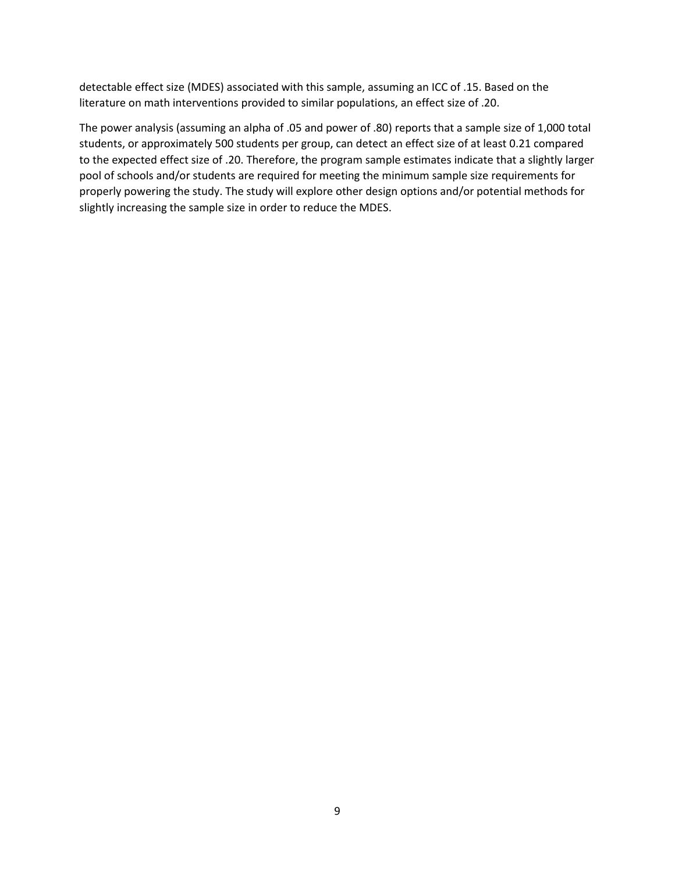detectable effect size (MDES) associated with this sample, assuming an ICC of .15. Based on the literature on math interventions provided to similar populations, an effect size of .20.

The power analysis (assuming an alpha of .05 and power of .80) reports that a sample size of 1,000 total students, or approximately 500 students per group, can detect an effect size of at least 0.21 compared to the expected effect size of .20. Therefore, the program sample estimates indicate that a slightly larger pool of schools and/or students are required for meeting the minimum sample size requirements for properly powering the study. The study will explore other design options and/or potential methods for slightly increasing the sample size in order to reduce the MDES.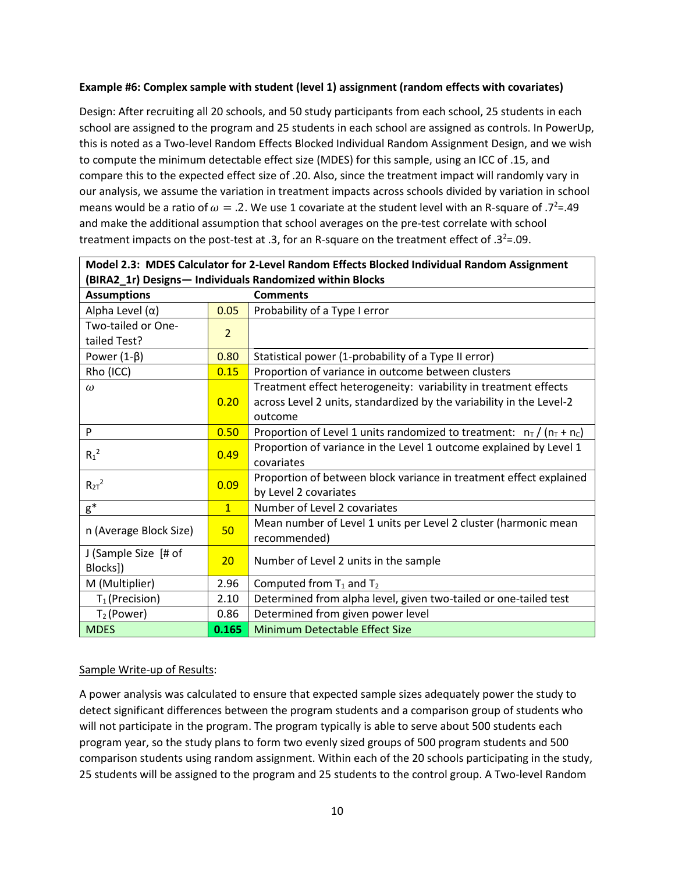## **Example #6: Complex sample with student (level 1) assignment (random effects with covariates)**

Design: After recruiting all 20 schools, and 50 study participants from each school, 25 students in each school are assigned to the program and 25 students in each school are assigned as controls. In PowerUp, this is noted as a Two-level Random Effects Blocked Individual Random Assignment Design, and we wish to compute the minimum detectable effect size (MDES) for this sample, using an ICC of .15, and compare this to the expected effect size of .20. Also, since the treatment impact will randomly vary in our analysis, we assume the variation in treatment impacts across schools divided by variation in school means would be a ratio of  $\omega = .2$ . We use 1 covariate at the student level with an R-square of .7<sup>2</sup>=.49 and make the additional assumption that school averages on the pre-test correlate with school treatment impacts on the post-test at .3, for an R-square on the treatment effect of .3 $2$ =.09.

| Model 2.3: MDES Calculator for 2-Level Random Effects Blocked Individual Random Assignment |                 |                                                                          |
|--------------------------------------------------------------------------------------------|-----------------|--------------------------------------------------------------------------|
| (BIRA2_1r) Designs-Individuals Randomized within Blocks                                    |                 |                                                                          |
| <b>Assumptions</b>                                                                         |                 | <b>Comments</b>                                                          |
| Alpha Level $(\alpha)$                                                                     | 0.05            | Probability of a Type I error                                            |
| Two-tailed or One-                                                                         | $\overline{2}$  |                                                                          |
| tailed Test?                                                                               |                 |                                                                          |
| Power $(1-\beta)$                                                                          | 0.80            | Statistical power (1-probability of a Type II error)                     |
| Rho (ICC)                                                                                  | 0.15            | Proportion of variance in outcome between clusters                       |
| $\omega$                                                                                   |                 | Treatment effect heterogeneity: variability in treatment effects         |
|                                                                                            | 0.20            | across Level 2 units, standardized by the variability in the Level-2     |
|                                                                                            |                 | outcome                                                                  |
| P                                                                                          | 0.50            | Proportion of Level 1 units randomized to treatment: $n_T / (n_T + n_C)$ |
| $R_1^2$                                                                                    | 0.49            | Proportion of variance in the Level 1 outcome explained by Level 1       |
|                                                                                            |                 | covariates                                                               |
| $R_{2T}^2$                                                                                 | 0.09            | Proportion of between block variance in treatment effect explained       |
|                                                                                            |                 | by Level 2 covariates                                                    |
| $g^*$                                                                                      | $\mathbf{1}$    | Number of Level 2 covariates                                             |
| n (Average Block Size)                                                                     | 50              | Mean number of Level 1 units per Level 2 cluster (harmonic mean          |
|                                                                                            |                 | recommended)                                                             |
| J (Sample Size [# of                                                                       | 20 <sub>2</sub> | Number of Level 2 units in the sample                                    |
| Blocks])                                                                                   |                 |                                                                          |
| M (Multiplier)                                                                             | 2.96            | Computed from $T_1$ and $T_2$                                            |
| $T_1$ (Precision)                                                                          | 2.10            | Determined from alpha level, given two-tailed or one-tailed test         |
| $T_2$ (Power)                                                                              | 0.86            | Determined from given power level                                        |
| <b>MDES</b>                                                                                | 0.165           | Minimum Detectable Effect Size                                           |

# Sample Write-up of Results:

A power analysis was calculated to ensure that expected sample sizes adequately power the study to detect significant differences between the program students and a comparison group of students who will not participate in the program. The program typically is able to serve about 500 students each program year, so the study plans to form two evenly sized groups of 500 program students and 500 comparison students using random assignment. Within each of the 20 schools participating in the study, 25 students will be assigned to the program and 25 students to the control group. A Two-level Random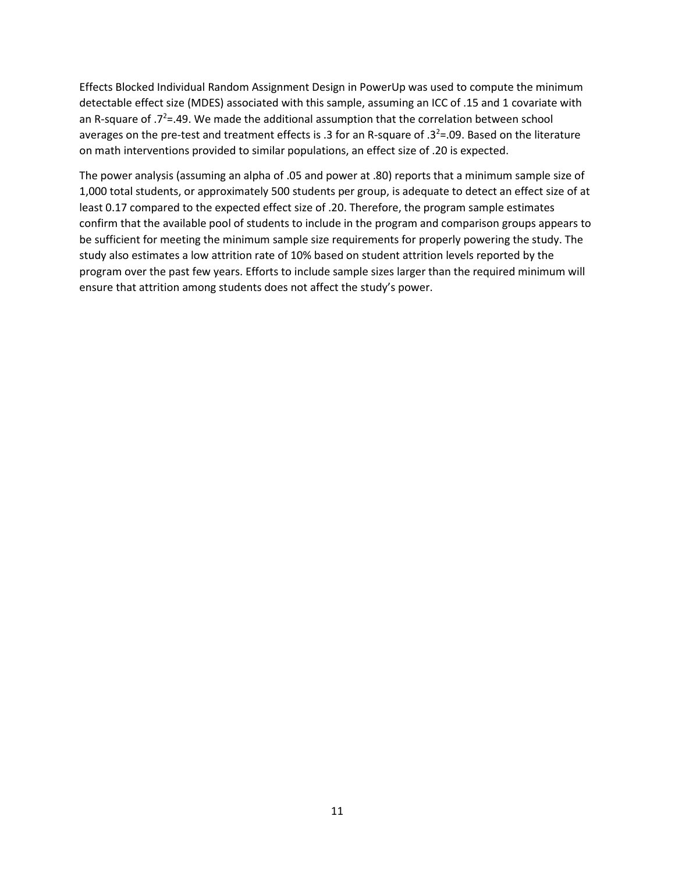Effects Blocked Individual Random Assignment Design in PowerUp was used to compute the minimum detectable effect size (MDES) associated with this sample, assuming an ICC of .15 and 1 covariate with an R-square of  $.7^{2}$ =.49. We made the additional assumption that the correlation between school averages on the pre-test and treatment effects is .3 for an R-square of .3<sup>2</sup>=.09. Based on the literature on math interventions provided to similar populations, an effect size of .20 is expected.

The power analysis (assuming an alpha of .05 and power at .80) reports that a minimum sample size of 1,000 total students, or approximately 500 students per group, is adequate to detect an effect size of at least 0.17 compared to the expected effect size of .20. Therefore, the program sample estimates confirm that the available pool of students to include in the program and comparison groups appears to be sufficient for meeting the minimum sample size requirements for properly powering the study. The study also estimates a low attrition rate of 10% based on student attrition levels reported by the program over the past few years. Efforts to include sample sizes larger than the required minimum will ensure that attrition among students does not affect the study's power.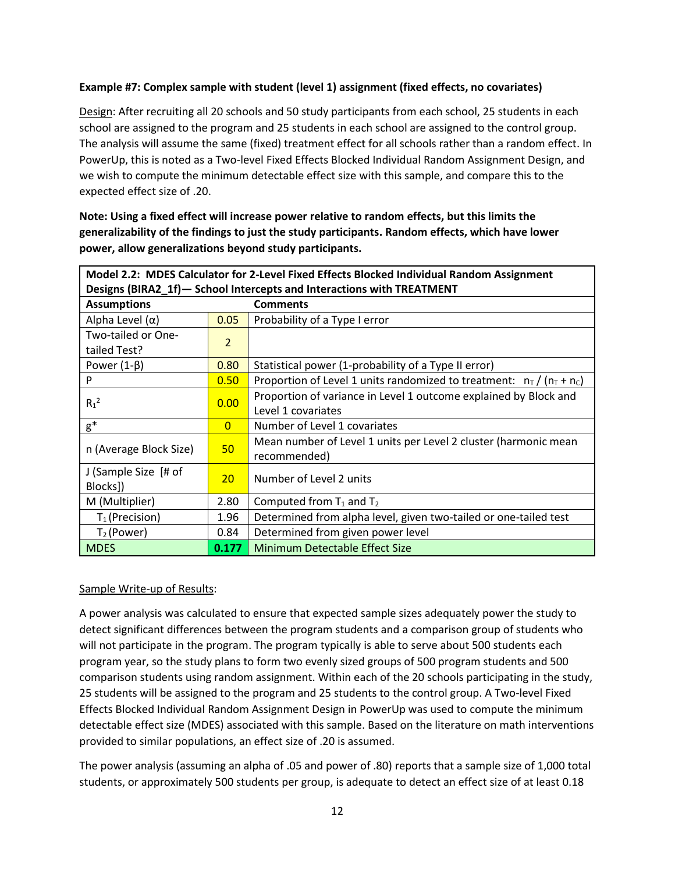## **Example #7: Complex sample with student (level 1) assignment (fixed effects, no covariates)**

Design: After recruiting all 20 schools and 50 study participants from each school, 25 students in each school are assigned to the program and 25 students in each school are assigned to the control group. The analysis will assume the same (fixed) treatment effect for all schools rather than a random effect. In PowerUp, this is noted as a Two-level Fixed Effects Blocked Individual Random Assignment Design, and we wish to compute the minimum detectable effect size with this sample, and compare this to the expected effect size of .20.

**Note: Using a fixed effect will increase power relative to random effects, but this limits the generalizability of the findings to just the study participants. Random effects, which have lower power, allow generalizations beyond study participants.** 

| Model 2.2: MDES Calculator for 2-Level Fixed Effects Blocked Individual Random Assignment |                |                                                                                        |
|-------------------------------------------------------------------------------------------|----------------|----------------------------------------------------------------------------------------|
| Designs (BIRA2_1f)-School Intercepts and Interactions with TREATMENT                      |                |                                                                                        |
| <b>Assumptions</b>                                                                        |                | <b>Comments</b>                                                                        |
| Alpha Level $(\alpha)$                                                                    | 0.05           | Probability of a Type I error                                                          |
| Two-tailed or One-<br>tailed Test?                                                        | $\overline{2}$ |                                                                                        |
| Power $(1-\beta)$                                                                         | 0.80           | Statistical power (1-probability of a Type II error)                                   |
| P                                                                                         | 0.50           | Proportion of Level 1 units randomized to treatment: $n_T/(n_T + n_C)$                 |
| $R_1^2$                                                                                   | 0.00           | Proportion of variance in Level 1 outcome explained by Block and<br>Level 1 covariates |
| $g^*$                                                                                     | $\overline{0}$ | Number of Level 1 covariates                                                           |
| n (Average Block Size)                                                                    | 50             | Mean number of Level 1 units per Level 2 cluster (harmonic mean<br>recommended)        |
| J (Sample Size [# of<br>Blocks])                                                          | 20             | Number of Level 2 units                                                                |
| M (Multiplier)                                                                            | 2.80           | Computed from $T_1$ and $T_2$                                                          |
| $T_1$ (Precision)                                                                         | 1.96           | Determined from alpha level, given two-tailed or one-tailed test                       |
| $T_2$ (Power)                                                                             | 0.84           | Determined from given power level                                                      |
| <b>MDES</b>                                                                               | 0.177          | Minimum Detectable Effect Size                                                         |

#### Sample Write-up of Results:

A power analysis was calculated to ensure that expected sample sizes adequately power the study to detect significant differences between the program students and a comparison group of students who will not participate in the program. The program typically is able to serve about 500 students each program year, so the study plans to form two evenly sized groups of 500 program students and 500 comparison students using random assignment. Within each of the 20 schools participating in the study, 25 students will be assigned to the program and 25 students to the control group. A Two-level Fixed Effects Blocked Individual Random Assignment Design in PowerUp was used to compute the minimum detectable effect size (MDES) associated with this sample. Based on the literature on math interventions provided to similar populations, an effect size of .20 is assumed.

The power analysis (assuming an alpha of .05 and power of .80) reports that a sample size of 1,000 total students, or approximately 500 students per group, is adequate to detect an effect size of at least 0.18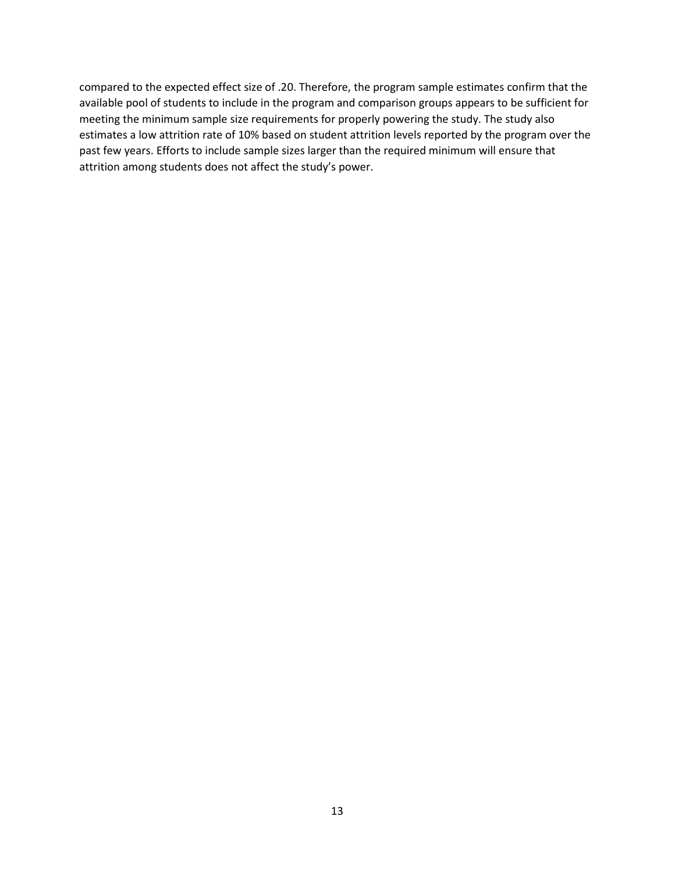compared to the expected effect size of .20. Therefore, the program sample estimates confirm that the available pool of students to include in the program and comparison groups appears to be sufficient for meeting the minimum sample size requirements for properly powering the study. The study also estimates a low attrition rate of 10% based on student attrition levels reported by the program over the past few years. Efforts to include sample sizes larger than the required minimum will ensure that attrition among students does not affect the study's power.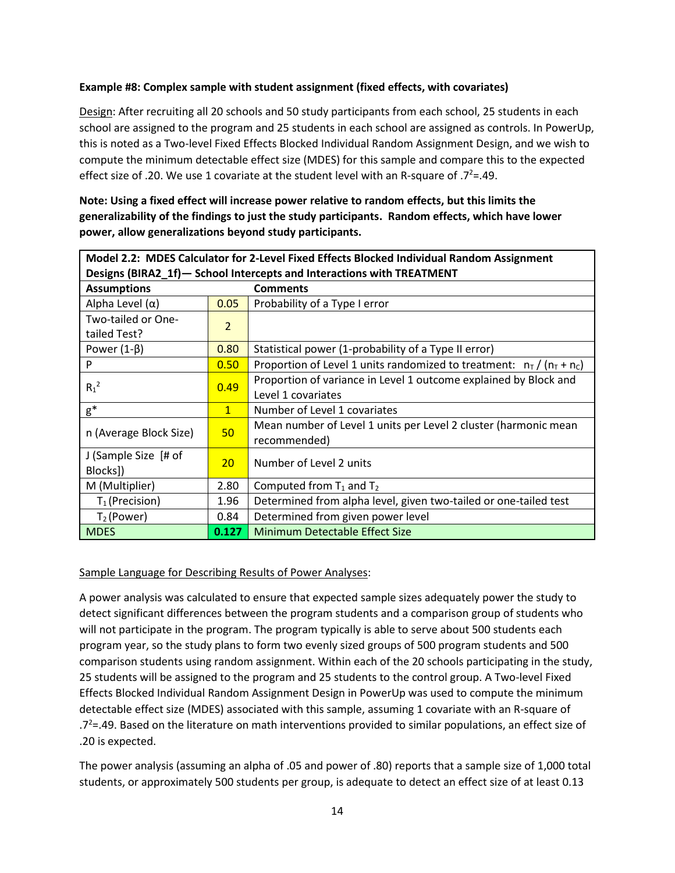## **Example #8: Complex sample with student assignment (fixed effects, with covariates)**

Design: After recruiting all 20 schools and 50 study participants from each school, 25 students in each school are assigned to the program and 25 students in each school are assigned as controls. In PowerUp, this is noted as a Two-level Fixed Effects Blocked Individual Random Assignment Design, and we wish to compute the minimum detectable effect size (MDES) for this sample and compare this to the expected effect size of .20. We use 1 covariate at the student level with an R-square of .7<sup>2</sup>=.49.

| Model 2.2: MDES Calculator for 2-Level Fixed Effects Blocked Individual Random Assignment |                |                                                                                 |  |
|-------------------------------------------------------------------------------------------|----------------|---------------------------------------------------------------------------------|--|
| Designs (BIRA2_1f)-School Intercepts and Interactions with TREATMENT                      |                |                                                                                 |  |
| <b>Assumptions</b>                                                                        |                | <b>Comments</b>                                                                 |  |
| Alpha Level (α)                                                                           | 0.05           | Probability of a Type I error                                                   |  |
| Two-tailed or One-<br>tailed Test?                                                        | $\overline{2}$ |                                                                                 |  |
| Power $(1-\beta)$                                                                         | 0.80           | Statistical power (1-probability of a Type II error)                            |  |
| P                                                                                         | 0.50           | Proportion of Level 1 units randomized to treatment: $n_T/(n_T + n_C)$          |  |
| $R_1^2$                                                                                   | 0.49           | Proportion of variance in Level 1 outcome explained by Block and                |  |
|                                                                                           |                | Level 1 covariates                                                              |  |
| $g^*$                                                                                     | $\mathbf{1}$   | Number of Level 1 covariates                                                    |  |
| n (Average Block Size)                                                                    | 50             | Mean number of Level 1 units per Level 2 cluster (harmonic mean<br>recommended) |  |
| J (Sample Size [# of<br>Blocks])                                                          | 20             | Number of Level 2 units                                                         |  |
| M (Multiplier)                                                                            | 2.80           | Computed from $T_1$ and $T_2$                                                   |  |
| $T_1$ (Precision)                                                                         | 1.96           | Determined from alpha level, given two-tailed or one-tailed test                |  |
| $T_2$ (Power)                                                                             | 0.84           | Determined from given power level                                               |  |
| <b>MDES</b>                                                                               | 0.127          | <b>Minimum Detectable Effect Size</b>                                           |  |

**Note: Using a fixed effect will increase power relative to random effects, but this limits the generalizability of the findings to just the study participants. Random effects, which have lower power, allow generalizations beyond study participants.** 

#### Sample Language for Describing Results of Power Analyses:

A power analysis was calculated to ensure that expected sample sizes adequately power the study to detect significant differences between the program students and a comparison group of students who will not participate in the program. The program typically is able to serve about 500 students each program year, so the study plans to form two evenly sized groups of 500 program students and 500 comparison students using random assignment. Within each of the 20 schools participating in the study, 25 students will be assigned to the program and 25 students to the control group. A Two-level Fixed Effects Blocked Individual Random Assignment Design in PowerUp was used to compute the minimum detectable effect size (MDES) associated with this sample, assuming 1 covariate with an R-square of  $.72$  = 49. Based on the literature on math interventions provided to similar populations, an effect size of .20 is expected.

The power analysis (assuming an alpha of .05 and power of .80) reports that a sample size of 1,000 total students, or approximately 500 students per group, is adequate to detect an effect size of at least 0.13